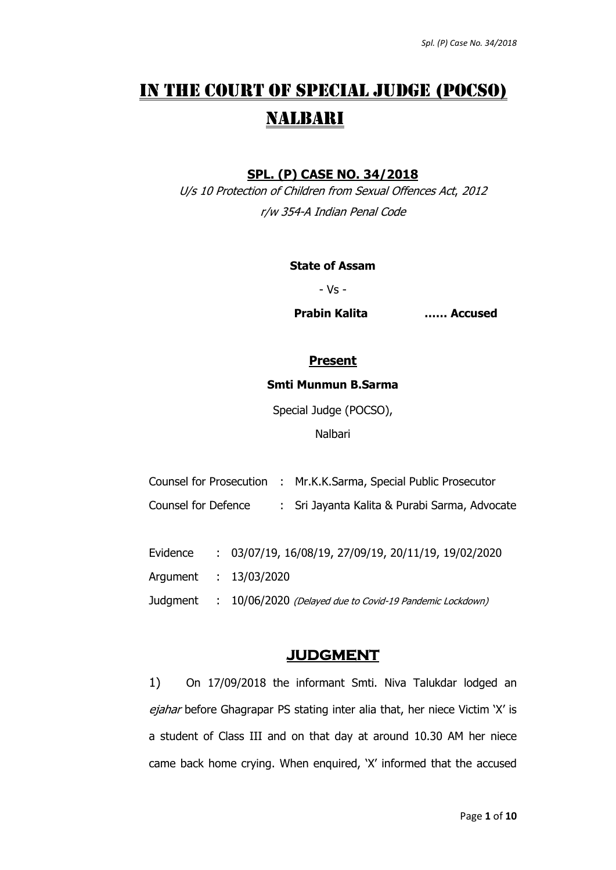# IN THE COURT OF SPECIAL JUDGE (POCSO) NALBARI

## **SPL. (P) CASE NO. 34/2018**

U/s 10 Protection of Children from Sexual Offences Act, 2012 r/w 354-A Indian Penal Code

#### **State of Assam**

- Vs -

**Prabin Kalita …… Accused**

# **Present**

#### **Smti Munmun B.Sarma**

Special Judge (POCSO),

Nalbari

|                     | Counsel for Prosecution : Mr.K.K.Sarma, Special Public Prosecutor |
|---------------------|-------------------------------------------------------------------|
| Counsel for Defence | : Sri Jayanta Kalita & Purabi Sarma, Advocate                     |

| Evidence | $: 03/07/19, 16/08/19, 27/09/19, 20/11/19, 19/02/2020$            |
|----------|-------------------------------------------------------------------|
|          | Argument : 13/03/2020                                             |
|          | Judgment : 10/06/2020 (Delayed due to Covid-19 Pandemic Lockdown) |

# **JUDGMENT**

1) On 17/09/2018 the informant Smti. Niva Talukdar lodged an ejahar before Ghagrapar PS stating inter alia that, her niece Victim 'X' is a student of Class III and on that day at around 10.30 AM her niece came back home crying. When enquired, 'X' informed that the accused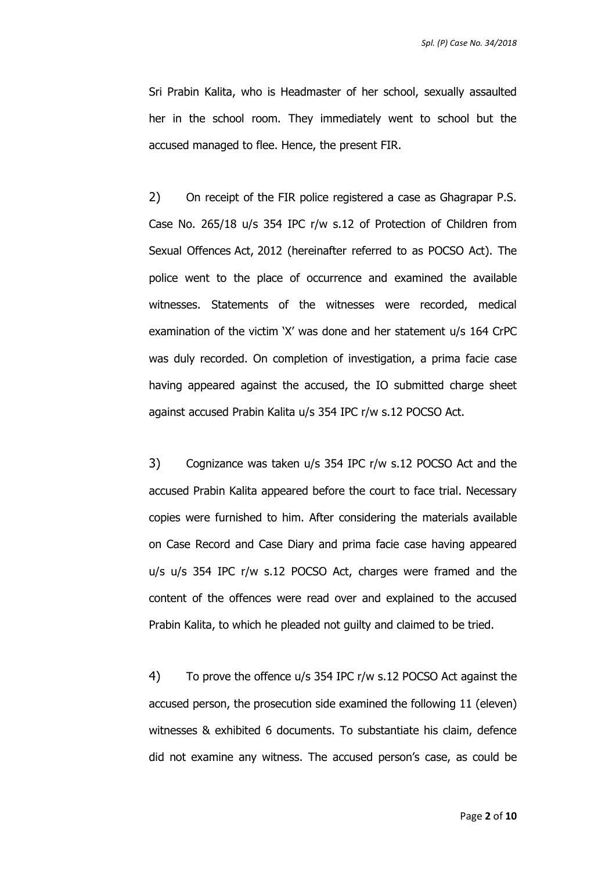Sri Prabin Kalita, who is Headmaster of her school, sexually assaulted her in the school room. They immediately went to school but the accused managed to flee. Hence, the present FIR.

2) On receipt of the FIR police registered a case as Ghagrapar P.S. Case No. 265/18 u/s 354 IPC r/w s.12 of Protection of Children from Sexual Offences Act, 2012 (hereinafter referred to as POCSO Act). The police went to the place of occurrence and examined the available witnesses. Statements of the witnesses were recorded, medical examination of the victim 'X' was done and her statement u/s 164 CrPC was duly recorded. On completion of investigation, a prima facie case having appeared against the accused, the IO submitted charge sheet against accused Prabin Kalita u/s 354 IPC r/w s.12 POCSO Act.

3) Cognizance was taken u/s 354 IPC r/w s.12 POCSO Act and the accused Prabin Kalita appeared before the court to face trial. Necessary copies were furnished to him. After considering the materials available on Case Record and Case Diary and prima facie case having appeared u/s u/s 354 IPC r/w s.12 POCSO Act, charges were framed and the content of the offences were read over and explained to the accused Prabin Kalita, to which he pleaded not guilty and claimed to be tried.

4) To prove the offence u/s 354 IPC r/w s.12 POCSO Act against the accused person, the prosecution side examined the following 11 (eleven) witnesses & exhibited 6 documents. To substantiate his claim, defence did not examine any witness. The accused person's case, as could be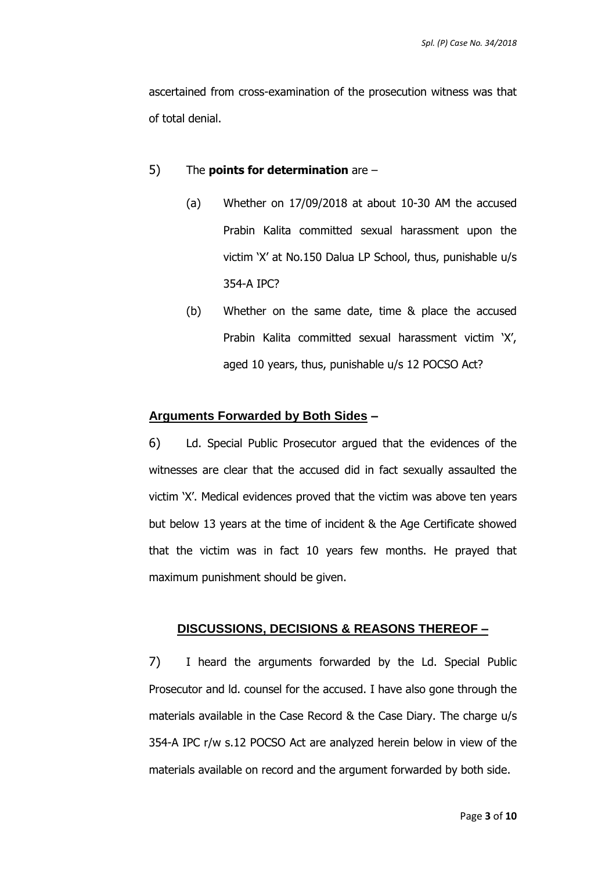ascertained from cross-examination of the prosecution witness was that of total denial.

## 5) The **points for determination** are –

- (a) Whether on 17/09/2018 at about 10-30 AM the accused Prabin Kalita committed sexual harassment upon the victim 'X' at No.150 Dalua LP School, thus, punishable u/s 354-A IPC?
- (b) Whether on the same date, time & place the accused Prabin Kalita committed sexual harassment victim 'X', aged 10 years, thus, punishable u/s 12 POCSO Act?

#### **Arguments Forwarded by Both Sides –**

6) Ld. Special Public Prosecutor argued that the evidences of the witnesses are clear that the accused did in fact sexually assaulted the victim 'X'. Medical evidences proved that the victim was above ten years but below 13 years at the time of incident & the Age Certificate showed that the victim was in fact 10 years few months. He prayed that maximum punishment should be given.

## **DISCUSSIONS, DECISIONS & REASONS THEREOF –**

7) I heard the arguments forwarded by the Ld. Special Public Prosecutor and ld. counsel for the accused. I have also gone through the materials available in the Case Record & the Case Diary. The charge u/s 354-A IPC r/w s.12 POCSO Act are analyzed herein below in view of the materials available on record and the argument forwarded by both side.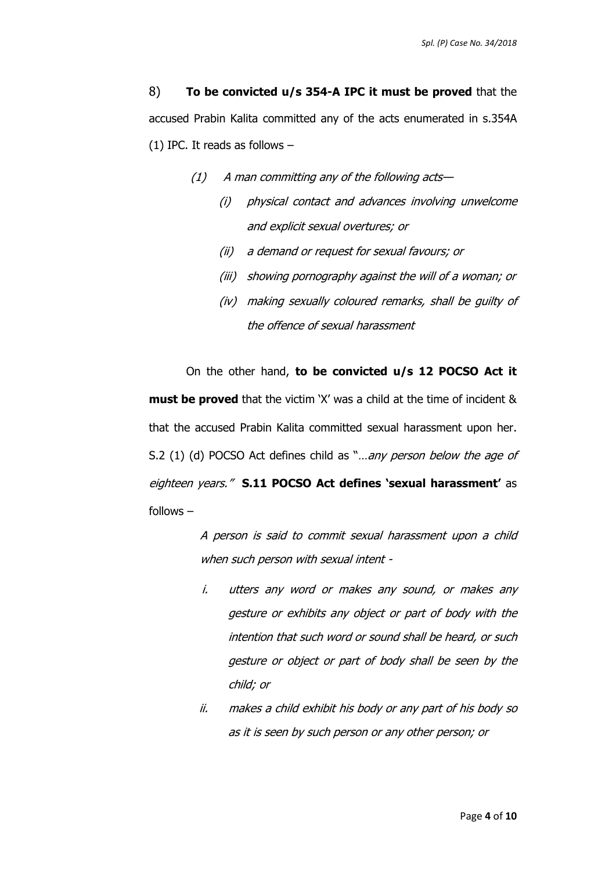8) **To be convicted u/s 354-A IPC it must be proved** that the accused Prabin Kalita committed any of the acts enumerated in s.354A (1) IPC. It reads as follows –

- $(1)$  A man committing any of the following acts—
	- (i) physical contact and advances involving unwelcome and explicit sexual overtures; or
	- (ii) a demand or request for sexual favours; or
	- (iii) showing pornography against the will of a woman; or
	- (iv) making sexually coloured remarks, shall be guilty of the offence of sexual harassment

On the other hand, **to be convicted u/s 12 POCSO Act it must be proved** that the victim 'X' was a child at the time of incident & that the accused Prabin Kalita committed sexual harassment upon her. S.2 (1) (d) POCSO Act defines child as "...any person below the age of eighteen years." **S.11 POCSO Act defines 'sexual harassment'** as follows –

> A person is said to commit sexual harassment upon a child when such person with sexual intent -

- i. utters any word or makes any sound, or makes any gesture or exhibits any object or part of body with the intention that such word or sound shall be heard, or such gesture or object or part of body shall be seen by the child; or
- ii. makes a child exhibit his body or any part of his body so as it is seen by such person or any other person; or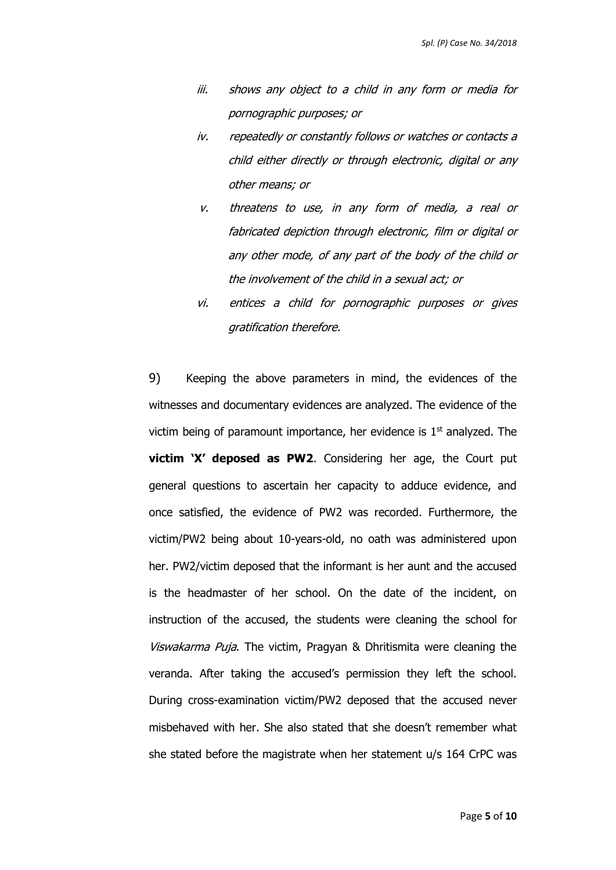- iii. shows any object to a child in any form or media for pornographic purposes; or
- iv. repeatedly or constantly follows or watches or contacts a child either directly or through electronic, digital or any other means; or
- v. threatens to use, in any form of media, a real or fabricated depiction through electronic, film or digital or any other mode, of any part of the body of the child or the involvement of the child in a sexual act; or
- vi. entices a child for pornographic purposes or gives gratification therefore.

9) Keeping the above parameters in mind, the evidences of the witnesses and documentary evidences are analyzed. The evidence of the victim being of paramount importance, her evidence is  $1<sup>st</sup>$  analyzed. The **victim 'X' deposed as PW2**. Considering her age, the Court put general questions to ascertain her capacity to adduce evidence, and once satisfied, the evidence of PW2 was recorded. Furthermore, the victim/PW2 being about 10-years-old, no oath was administered upon her. PW2/victim deposed that the informant is her aunt and the accused is the headmaster of her school. On the date of the incident, on instruction of the accused, the students were cleaning the school for Viswakarma Puja. The victim, Pragyan & Dhritismita were cleaning the veranda. After taking the accused's permission they left the school. During cross-examination victim/PW2 deposed that the accused never misbehaved with her. She also stated that she doesn't remember what she stated before the magistrate when her statement u/s 164 CrPC was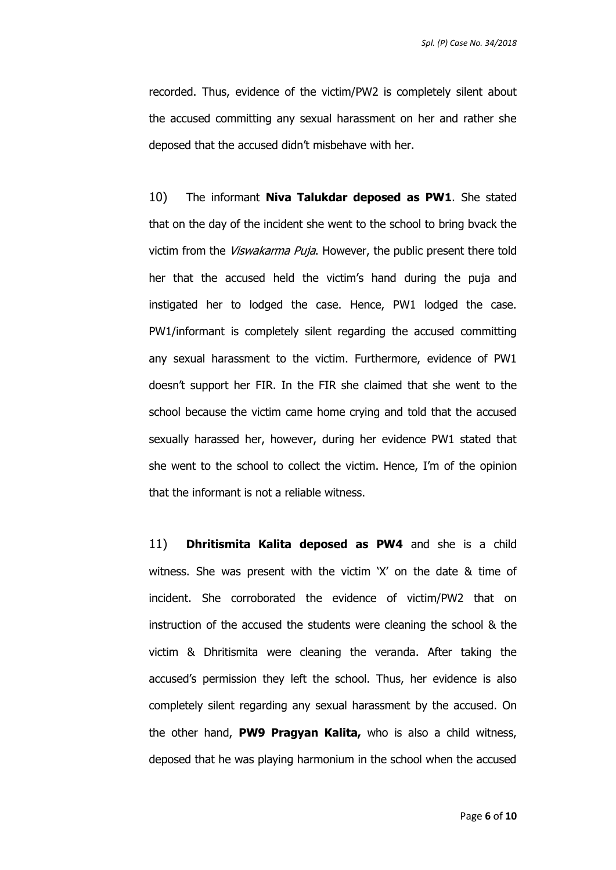recorded. Thus, evidence of the victim/PW2 is completely silent about the accused committing any sexual harassment on her and rather she deposed that the accused didn't misbehave with her.

10) The informant **Niva Talukdar deposed as PW1**. She stated that on the day of the incident she went to the school to bring bvack the victim from the *Viswakarma Puja*. However, the public present there told her that the accused held the victim's hand during the puja and instigated her to lodged the case. Hence, PW1 lodged the case. PW1/informant is completely silent regarding the accused committing any sexual harassment to the victim. Furthermore, evidence of PW1 doesn't support her FIR. In the FIR she claimed that she went to the school because the victim came home crying and told that the accused sexually harassed her, however, during her evidence PW1 stated that she went to the school to collect the victim. Hence, I'm of the opinion that the informant is not a reliable witness.

11) **Dhritismita Kalita deposed as PW4** and she is a child witness. She was present with the victim 'X' on the date & time of incident. She corroborated the evidence of victim/PW2 that on instruction of the accused the students were cleaning the school & the victim & Dhritismita were cleaning the veranda. After taking the accused's permission they left the school. Thus, her evidence is also completely silent regarding any sexual harassment by the accused. On the other hand, **PW9 Pragyan Kalita,** who is also a child witness, deposed that he was playing harmonium in the school when the accused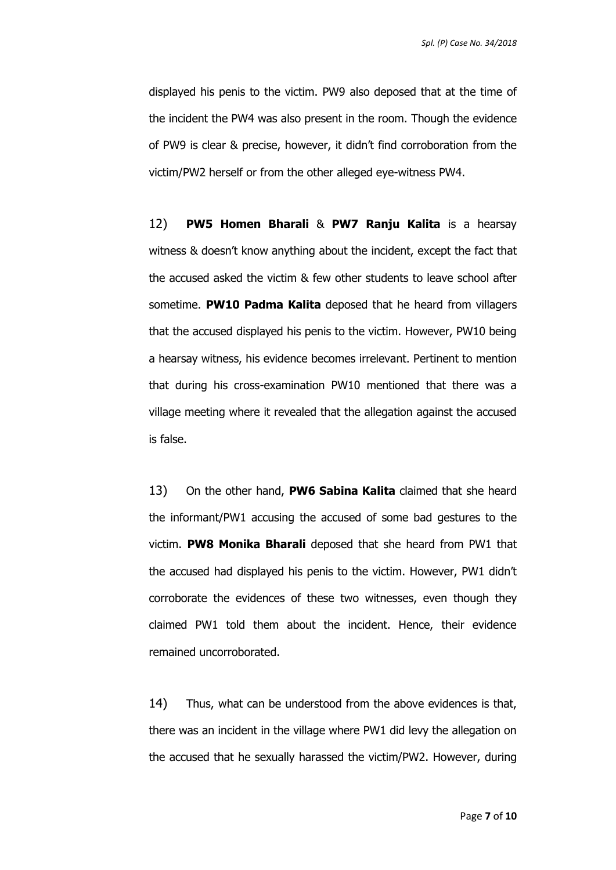displayed his penis to the victim. PW9 also deposed that at the time of the incident the PW4 was also present in the room. Though the evidence of PW9 is clear & precise, however, it didn't find corroboration from the victim/PW2 herself or from the other alleged eye-witness PW4.

12) **PW5 Homen Bharali** & **PW7 Ranju Kalita** is a hearsay witness & doesn't know anything about the incident, except the fact that the accused asked the victim & few other students to leave school after sometime. **PW10 Padma Kalita** deposed that he heard from villagers that the accused displayed his penis to the victim. However, PW10 being a hearsay witness, his evidence becomes irrelevant. Pertinent to mention that during his cross-examination PW10 mentioned that there was a village meeting where it revealed that the allegation against the accused is false.

13) On the other hand, **PW6 Sabina Kalita** claimed that she heard the informant/PW1 accusing the accused of some bad gestures to the victim. **PW8 Monika Bharali** deposed that she heard from PW1 that the accused had displayed his penis to the victim. However, PW1 didn't corroborate the evidences of these two witnesses, even though they claimed PW1 told them about the incident. Hence, their evidence remained uncorroborated.

14) Thus, what can be understood from the above evidences is that, there was an incident in the village where PW1 did levy the allegation on the accused that he sexually harassed the victim/PW2. However, during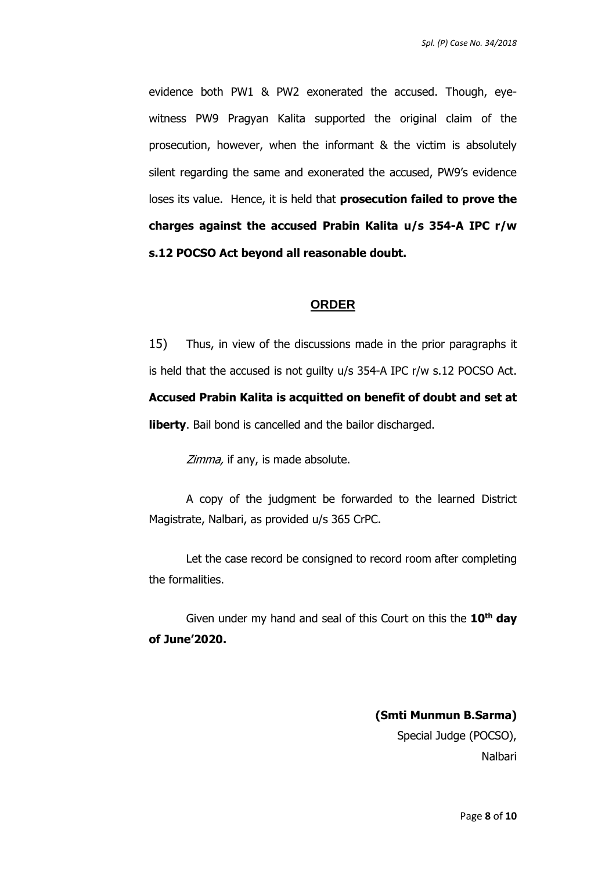evidence both PW1 & PW2 exonerated the accused. Though, eyewitness PW9 Pragyan Kalita supported the original claim of the prosecution, however, when the informant & the victim is absolutely silent regarding the same and exonerated the accused, PW9's evidence loses its value. Hence, it is held that **prosecution failed to prove the charges against the accused Prabin Kalita u/s 354-A IPC r/w s.12 POCSO Act beyond all reasonable doubt.**

#### **ORDER**

15) Thus, in view of the discussions made in the prior paragraphs it is held that the accused is not guilty u/s 354-A IPC r/w s.12 POCSO Act. **Accused Prabin Kalita is acquitted on benefit of doubt and set at liberty**. Bail bond is cancelled and the bailor discharged.

Zimma, if any, is made absolute.

A copy of the judgment be forwarded to the learned District Magistrate, Nalbari, as provided u/s 365 CrPC.

Let the case record be consigned to record room after completing the formalities.

Given under my hand and seal of this Court on this the **10th day of June'2020.** 

> **(Smti Munmun B.Sarma)** Special Judge (POCSO), Nalbari

> > Page **8** of **10**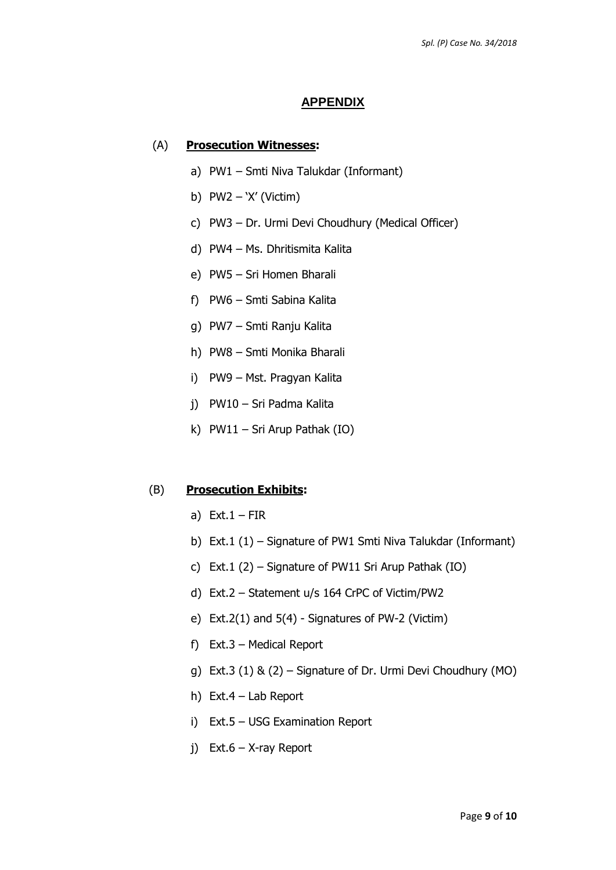#### **APPENDIX**

#### (A) **Prosecution Witnesses:**

- a) PW1 Smti Niva Talukdar (Informant)
- b) PW2 'X' (Victim)
- c) PW3 Dr. Urmi Devi Choudhury (Medical Officer)
- d) PW4 Ms. Dhritismita Kalita
- e) PW5 Sri Homen Bharali
- f) PW6 Smti Sabina Kalita
- g) PW7 Smti Ranju Kalita
- h) PW8 Smti Monika Bharali
- i) PW9 Mst. Pragyan Kalita
- j) PW10 Sri Padma Kalita
- k) PW11 Sri Arup Pathak (IO)

#### (B) **Prosecution Exhibits:**

- a) Ext.  $1 FIR$
- b) Ext.1 (1) Signature of PW1 Smti Niva Talukdar (Informant)
- c) Ext.1 (2) Signature of PW11 Sri Arup Pathak (IO)
- d) Ext.2 Statement u/s 164 CrPC of Victim/PW2
- e) Ext.2(1) and 5(4) Signatures of PW-2 (Victim)
- f) Ext.3 Medical Report
- g) Ext.3 (1) & (2) Signature of Dr. Urmi Devi Choudhury (MO)
- h) Ext.4 Lab Report
- i) Ext.5 USG Examination Report
- j) Ext.6 X-ray Report